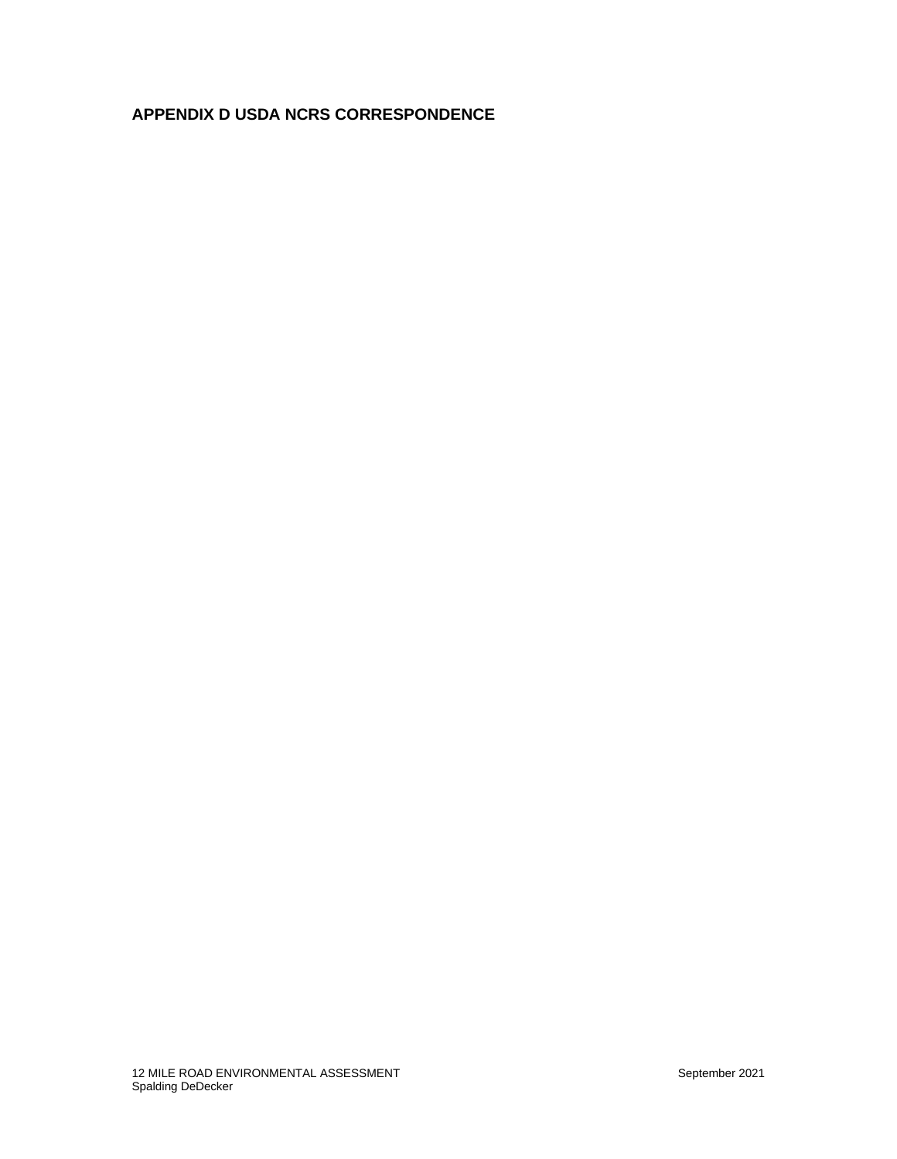## **APPENDIX D USDA NCRS CORRESPONDENCE**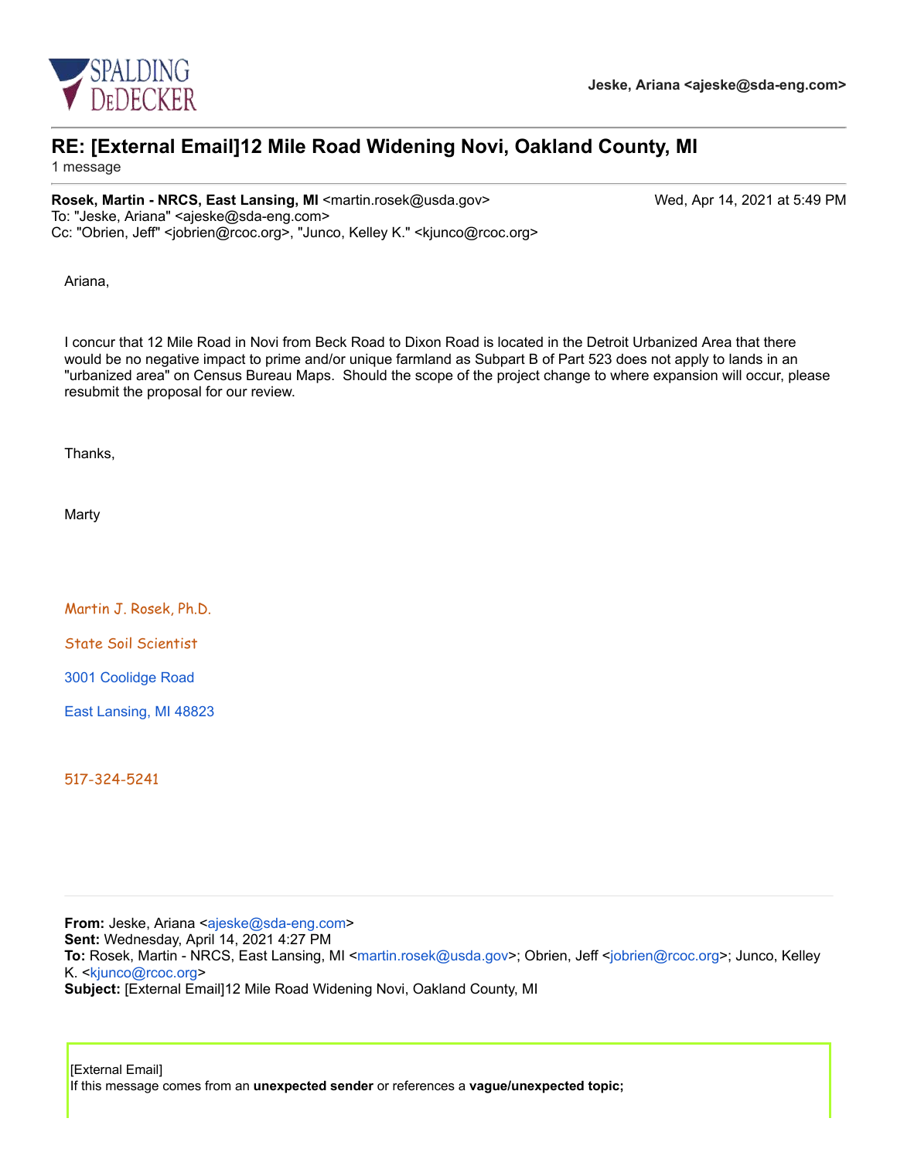

# **RE: [External Email]12 Mile Road Widening Novi, Oakland County, MI**

1 message

### **Rosek, Martin - NRCS, East Lansing, MI** <martin.rosek@usda.gov> Wed, Apr 14, 2021 at 5:49 PM

To: "Jeske, Ariana" <ajeske@sda-eng.com> Cc: "Obrien, Jeff" <jobrien@rcoc.org>, "Junco, Kelley K." <kjunco@rcoc.org>

Ariana,

I concur that 12 Mile Road in Novi from Beck Road to Dixon Road is located in the Detroit Urbanized Area that there would be no negative impact to prime and/or unique farmland as Subpart B of Part 523 does not apply to lands in an "urbanized area" on Census Bureau Maps. Should the scope of the project change to where expansion will occur, please resubmit the proposal for our review.

Thanks,

Marty

Martin J. Rosek, Ph.D.

State Soil Scientist

3001 Coolidge Road

East Lansing, MI 48823

517-324-5241

**From:** Jeske, Ariana <ajeske@sda-eng.com> **Sent:** Wednesday, April 14, 2021 4:27 PM To: Rosek, Martin - NRCS, East Lansing, MI <martin.rosek@usda.gov>; Obrien, Jeff <jobrien@rcoc.org>; Junco, Kelley K. <kjunco@rcoc.org> **Subject:** [External Email]12 Mile Road Widening Novi, Oakland County, MI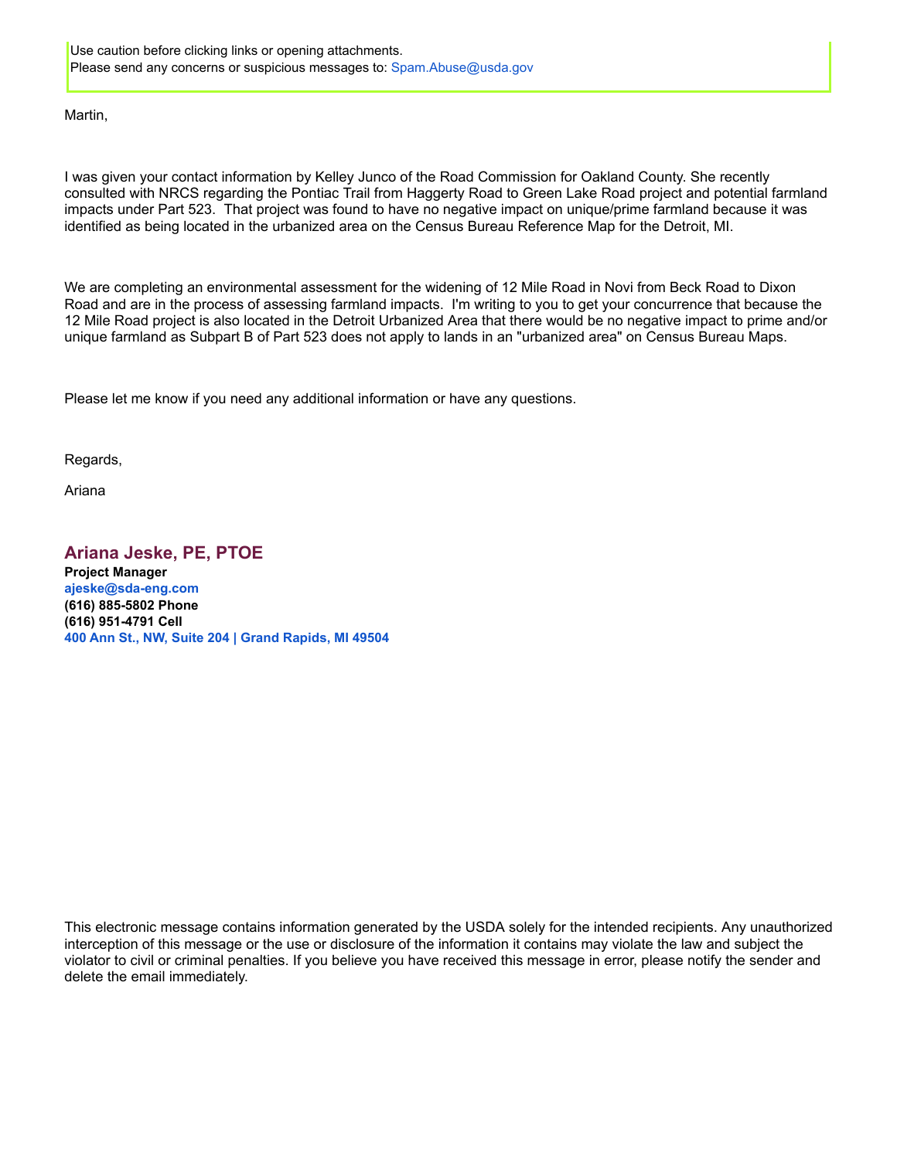Use caution before clicking links or opening attachments. Please send any concerns or suspicious messages to: Spam.Abuse@usda.gov

#### Martin,

I was given your contact information by Kelley Junco of the Road Commission for Oakland County. She recently consulted with NRCS regarding the Pontiac Trail from Haggerty Road to Green Lake Road project and potential farmland impacts under Part 523. That project was found to have no negative impact on unique/prime farmland because it was identified as being located in the urbanized area on the Census Bureau Reference Map for the Detroit, MI.

We are completing an environmental assessment for the widening of 12 Mile Road in Novi from Beck Road to Dixon Road and are in the process of assessing farmland impacts. I'm writing to you to get your concurrence that because the 12 Mile Road project is also located in the Detroit Urbanized Area that there would be no negative impact to prime and/or unique farmland as Subpart B of Part 523 does not apply to lands in an "urbanized area" on Census Bureau Maps.

Please let me know if you need any additional information or have any questions.

Regards,

Ariana

#### **Ariana Jeske, PE, PTOE Project Manager ajeske@sda-eng.com (616) 885-5802 Phone (616) 951-4791 Cell 400 Ann St., NW, Suite 204 | Grand Rapids, MI 49504**

This electronic message contains information generated by the USDA solely for the intended recipients. Any unauthorized interception of this message or the use or disclosure of the information it contains may violate the law and subject the violator to civil or criminal penalties. If you believe you have received this message in error, please notify the sender and delete the email immediately.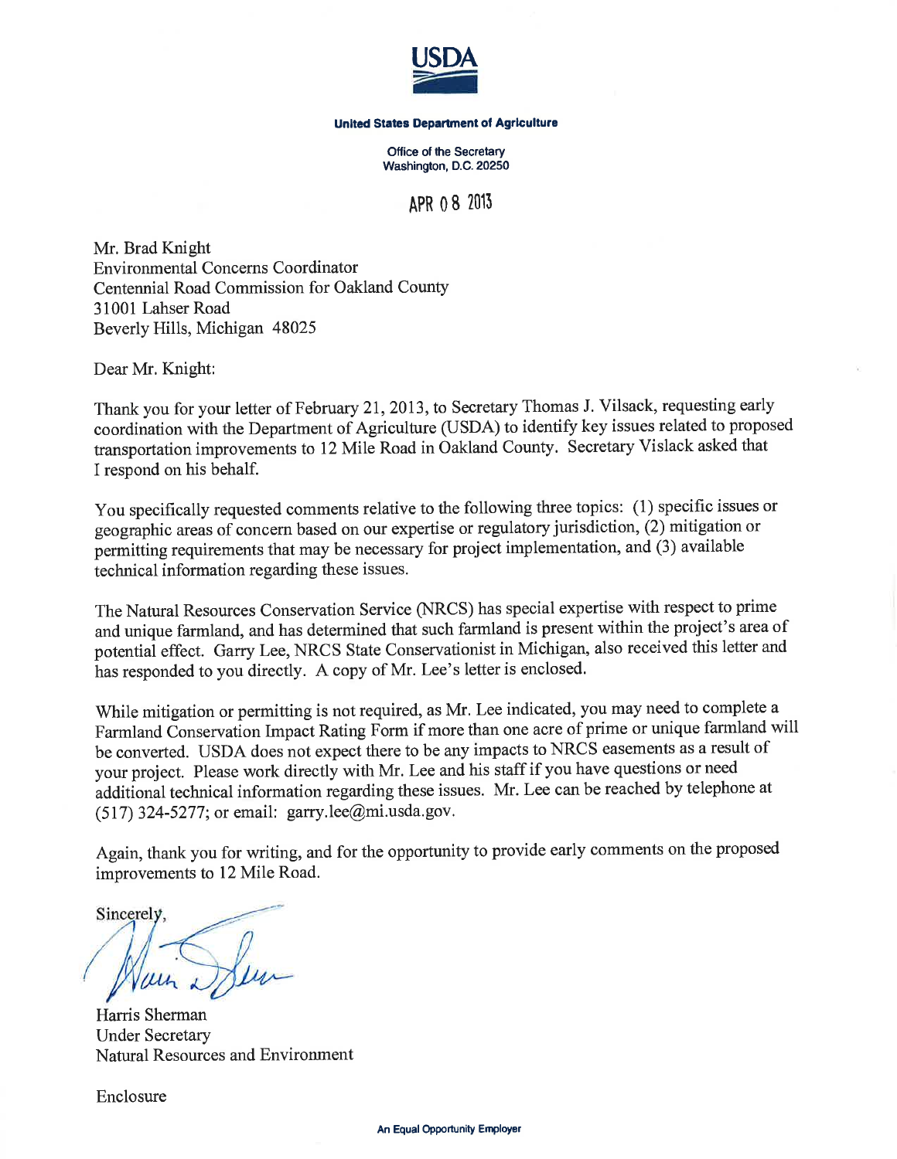

#### **United States Department of Agriculture**

Office of the Secretary Washington, D.C. 20250

APR 0 8 2013

Mr. Brad Knight **Environmental Concerns Coordinator** Centennial Road Commission for Oakland County 31001 Lahser Road Beverly Hills, Michigan 48025

Dear Mr. Knight:

Thank you for your letter of February 21, 2013, to Secretary Thomas J. Vilsack, requesting early coordination with the Department of Agriculture (USDA) to identify key issues related to proposed transportation improvements to 12 Mile Road in Oakland County. Secretary Vislack asked that I respond on his behalf.

You specifically requested comments relative to the following three topics: (1) specific issues or geographic areas of concern based on our expertise or regulatory jurisdiction, (2) mitigation or permitting requirements that may be necessary for project implementation, and (3) available technical information regarding these issues.

The Natural Resources Conservation Service (NRCS) has special expertise with respect to prime and unique farmland, and has determined that such farmland is present within the project's area of potential effect. Garry Lee, NRCS State Conservationist in Michigan, also received this letter and has responded to you directly. A copy of Mr. Lee's letter is enclosed.

While mitigation or permitting is not required, as Mr. Lee indicated, you may need to complete a Farmland Conservation Impact Rating Form if more than one acre of prime or unique farmland will be converted. USDA does not expect there to be any impacts to NRCS easements as a result of your project. Please work directly with Mr. Lee and his staff if you have questions or need additional technical information regarding these issues. Mr. Lee can be reached by telephone at  $(517)$  324-5277; or email: garry.lee@mi.usda.gov.

Again, thank you for writing, and for the opportunity to provide early comments on the proposed improvements to 12 Mile Road.

Sincerely,

Harris Sherman **Under Secretary Natural Resources and Environment** 

Enclosure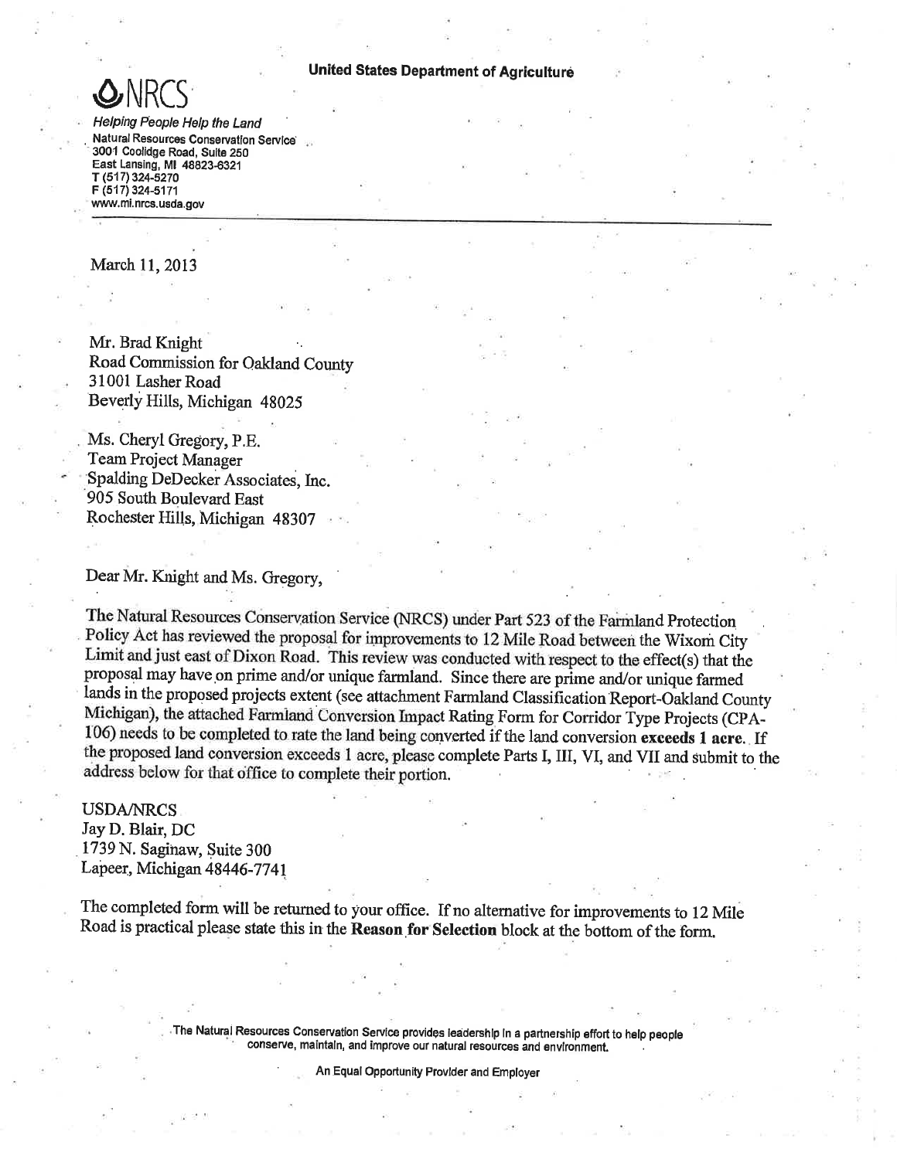

Helping People Help the Land Natural Resources Conservation Service 3001 Coolidge Road, Suite 250 East Lansing, MI 48823-6321 T (517) 324-5270 F (517) 324-5171 www.mi.nrcs.usda.gov

March 11, 2013

Mr. Brad Knight Road Commission for Oakland County 31001 Lasher Road Beverly Hills, Michigan 48025

Ms. Cheryl Gregory, P.E. **Team Project Manager** Spalding DeDecker Associates, Inc. 905 South Boulevard East Rochester Hills, Michigan 48307

Dear Mr. Knight and Ms. Gregory,

The Natural Resources Conservation Service (NRCS) under Part 523 of the Farmland Protection Policy Act has reviewed the proposal for improvements to 12 Mile Road between the Wixom City Limit and just east of Dixon Road. This review was conducted with respect to the effect(s) that the proposal may have on prime and/or unique farmland. Since there are prime and/or unique farmed lands in the proposed projects extent (see attachment Farmland Classification Report-Oakland County Michigan), the attached Farmland Conversion Impact Rating Form for Corridor Type Projects (CPA-106) needs to be completed to rate the land being converted if the land conversion exceeds 1 acre. If the proposed land conversion exceeds 1 acre, please complete Parts I, III, VI, and VII and submit to the address below for that office to complete their portion.

**USDA/NRCS** Jay D. Blair, DC 1739 N. Saginaw, Suite 300 Lapeer, Michigan 48446-7741

The completed form will be returned to your office. If no alternative for improvements to 12 Mile Road is practical please state this in the Reason for Selection block at the bottom of the form.

> The Natural Resources Conservation Service provides ieadership in a partnership effort to help people conserve, maintaln, and improve our natural resources and environment.

> > An Equal Opportunity Provider and Employer